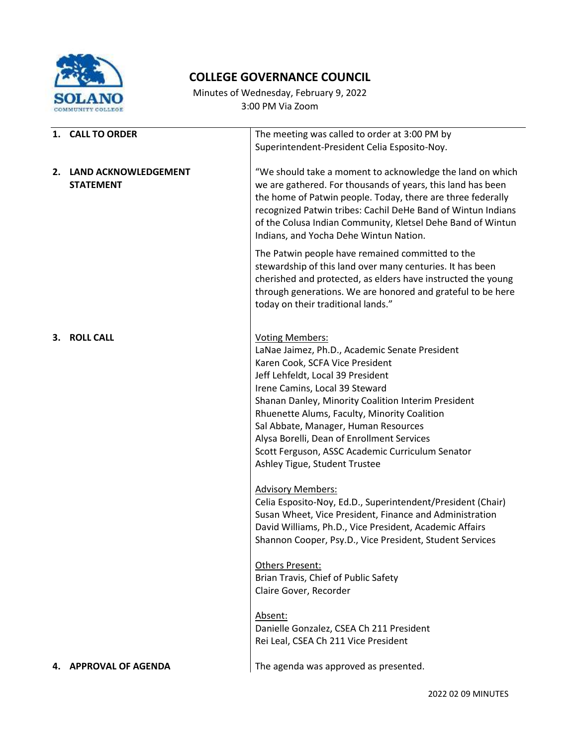

## **COLLEGE GOVERNANCE COUNCIL**

Minutes of Wednesday, February 9, 2022 3:00 PM Via Zoom

|    | 1. CALL TO ORDER                            | The meeting was called to order at 3:00 PM by<br>Superintendent-President Celia Esposito-Noy.                                                                                                                                                                                                                                                                                                                                                                        |
|----|---------------------------------------------|----------------------------------------------------------------------------------------------------------------------------------------------------------------------------------------------------------------------------------------------------------------------------------------------------------------------------------------------------------------------------------------------------------------------------------------------------------------------|
|    | 2. LAND ACKNOWLEDGEMENT<br><b>STATEMENT</b> | "We should take a moment to acknowledge the land on which<br>we are gathered. For thousands of years, this land has been<br>the home of Patwin people. Today, there are three federally<br>recognized Patwin tribes: Cachil DeHe Band of Wintun Indians<br>of the Colusa Indian Community, Kletsel Dehe Band of Wintun<br>Indians, and Yocha Dehe Wintun Nation.                                                                                                     |
|    |                                             | The Patwin people have remained committed to the<br>stewardship of this land over many centuries. It has been<br>cherished and protected, as elders have instructed the young<br>through generations. We are honored and grateful to be here<br>today on their traditional lands."                                                                                                                                                                                   |
| 3. | <b>ROLL CALL</b>                            | <b>Voting Members:</b><br>LaNae Jaimez, Ph.D., Academic Senate President<br>Karen Cook, SCFA Vice President<br>Jeff Lehfeldt, Local 39 President<br>Irene Camins, Local 39 Steward<br>Shanan Danley, Minority Coalition Interim President<br>Rhuenette Alums, Faculty, Minority Coalition<br>Sal Abbate, Manager, Human Resources<br>Alysa Borelli, Dean of Enrollment Services<br>Scott Ferguson, ASSC Academic Curriculum Senator<br>Ashley Tigue, Student Trustee |
|    |                                             | <b>Advisory Members:</b><br>Celia Esposito-Noy, Ed.D., Superintendent/President (Chair)<br>Susan Wheet, Vice President, Finance and Administration<br>David Williams, Ph.D., Vice President, Academic Affairs<br>Shannon Cooper, Psy.D., Vice President, Student Services                                                                                                                                                                                            |
|    |                                             | <b>Others Present:</b><br>Brian Travis, Chief of Public Safety<br>Claire Gover, Recorder                                                                                                                                                                                                                                                                                                                                                                             |
|    |                                             | Absent:<br>Danielle Gonzalez, CSEA Ch 211 President<br>Rei Leal, CSEA Ch 211 Vice President                                                                                                                                                                                                                                                                                                                                                                          |
|    | 4. APPROVAL OF AGENDA                       | The agenda was approved as presented.                                                                                                                                                                                                                                                                                                                                                                                                                                |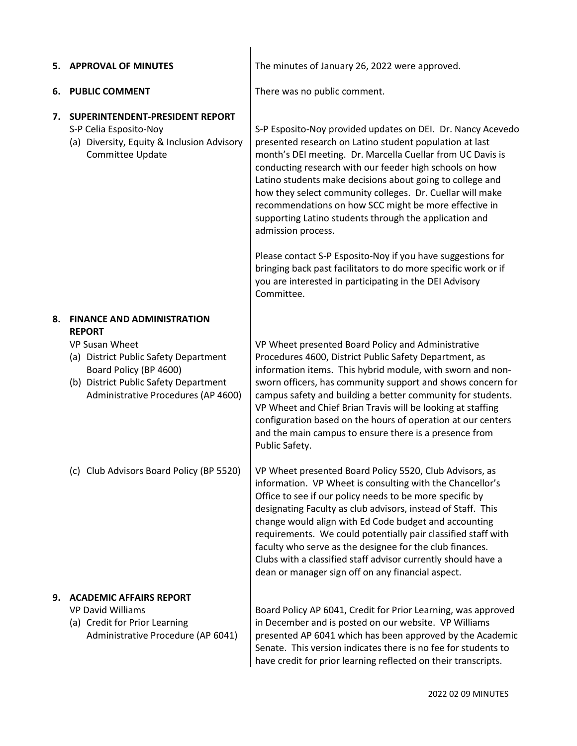| 5. | <b>APPROVAL OF MINUTES</b>                                                                                                                                               | The minutes of January 26, 2022 were approved.                                                                                                                                                                                                                                                                                                                                                                                                                                                                                                               |
|----|--------------------------------------------------------------------------------------------------------------------------------------------------------------------------|--------------------------------------------------------------------------------------------------------------------------------------------------------------------------------------------------------------------------------------------------------------------------------------------------------------------------------------------------------------------------------------------------------------------------------------------------------------------------------------------------------------------------------------------------------------|
| 6. | <b>PUBLIC COMMENT</b>                                                                                                                                                    | There was no public comment.                                                                                                                                                                                                                                                                                                                                                                                                                                                                                                                                 |
| 7. | SUPERINTENDENT-PRESIDENT REPORT<br>S-P Celia Esposito-Noy<br>(a) Diversity, Equity & Inclusion Advisory<br>Committee Update                                              | S-P Esposito-Noy provided updates on DEI. Dr. Nancy Acevedo<br>presented research on Latino student population at last<br>month's DEI meeting. Dr. Marcella Cuellar from UC Davis is<br>conducting research with our feeder high schools on how<br>Latino students make decisions about going to college and<br>how they select community colleges. Dr. Cuellar will make<br>recommendations on how SCC might be more effective in<br>supporting Latino students through the application and<br>admission process.                                           |
|    |                                                                                                                                                                          | Please contact S-P Esposito-Noy if you have suggestions for<br>bringing back past facilitators to do more specific work or if<br>you are interested in participating in the DEI Advisory<br>Committee.                                                                                                                                                                                                                                                                                                                                                       |
| 8. | <b>FINANCE AND ADMINISTRATION</b><br><b>REPORT</b>                                                                                                                       |                                                                                                                                                                                                                                                                                                                                                                                                                                                                                                                                                              |
|    | <b>VP Susan Wheet</b><br>(a) District Public Safety Department<br>Board Policy (BP 4600)<br>(b) District Public Safety Department<br>Administrative Procedures (AP 4600) | VP Wheet presented Board Policy and Administrative<br>Procedures 4600, District Public Safety Department, as<br>information items. This hybrid module, with sworn and non-<br>sworn officers, has community support and shows concern for<br>campus safety and building a better community for students.<br>VP Wheet and Chief Brian Travis will be looking at staffing<br>configuration based on the hours of operation at our centers<br>and the main campus to ensure there is a presence from<br>Public Safety.                                          |
|    | (c) Club Advisors Board Policy (BP 5520)                                                                                                                                 | VP Wheet presented Board Policy 5520, Club Advisors, as<br>information. VP Wheet is consulting with the Chancellor's<br>Office to see if our policy needs to be more specific by<br>designating Faculty as club advisors, instead of Staff. This<br>change would align with Ed Code budget and accounting<br>requirements. We could potentially pair classified staff with<br>faculty who serve as the designee for the club finances.<br>Clubs with a classified staff advisor currently should have a<br>dean or manager sign off on any financial aspect. |
| 9. | <b>ACADEMIC AFFAIRS REPORT</b><br><b>VP David Williams</b><br>(a) Credit for Prior Learning<br>Administrative Procedure (AP 6041)                                        | Board Policy AP 6041, Credit for Prior Learning, was approved<br>in December and is posted on our website. VP Williams<br>presented AP 6041 which has been approved by the Academic<br>Senate. This version indicates there is no fee for students to<br>have credit for prior learning reflected on their transcripts.                                                                                                                                                                                                                                      |